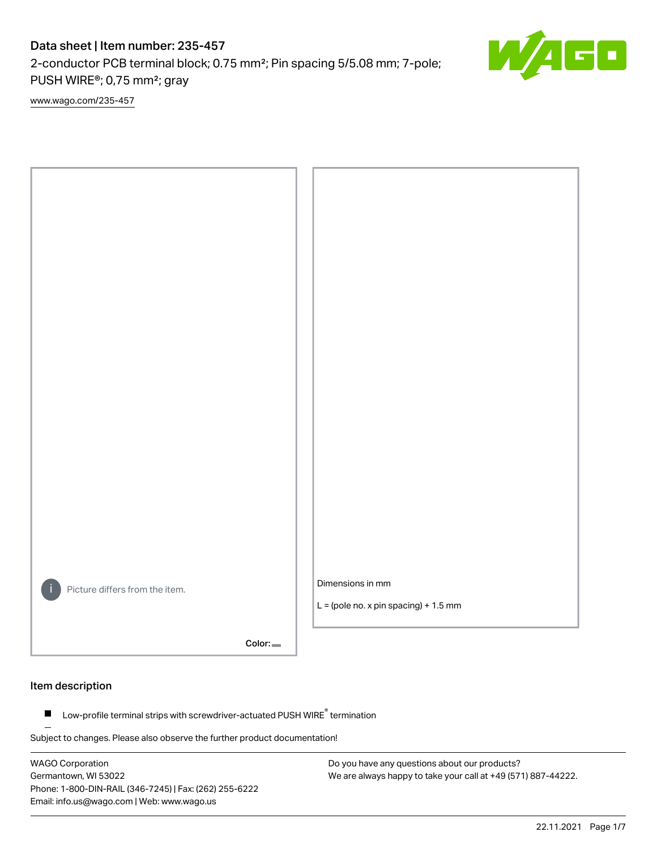2-conductor PCB terminal block; 0.75 mm²; Pin spacing 5/5.08 mm; 7-pole; PUSH WIRE®; 0,75 mm²; gray

[www.wago.com/235-457](http://www.wago.com/235-457)



Color:

#### Item description

Low-profile terminal strips with screwdriver-actuated PUSH WIRE® termination  $\blacksquare$ 

Subject to changes. Please also observe the further product documentation!

WAGO Corporation Germantown, WI 53022 Phone: 1-800-DIN-RAIL (346-7245) | Fax: (262) 255-6222 Email: info.us@wago.com | Web: www.wago.us

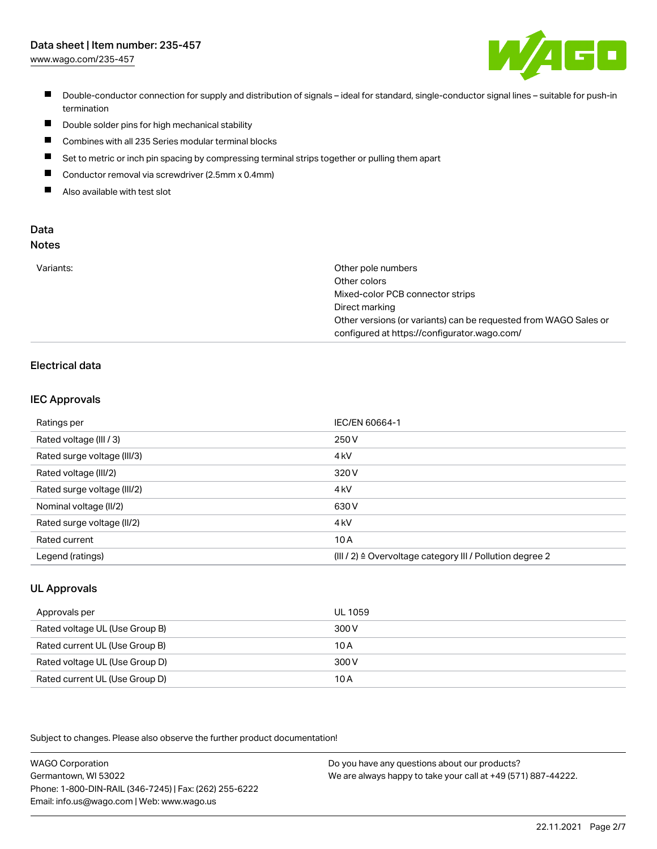[www.wago.com/235-457](http://www.wago.com/235-457)



- Double-conductor connection for supply and distribution of signals ideal for standard, single-conductor signal lines suitable for push-in termination
- $\blacksquare$ Double solder pins for high mechanical stability
- $\blacksquare$ Combines with all 235 Series modular terminal blocks
- $\blacksquare$ Set to metric or inch pin spacing by compressing terminal strips together or pulling them apart
- $\blacksquare$ Conductor removal via screwdriver (2.5mm x 0.4mm)
- $\blacksquare$ Also available with test slot

#### Data Notes

|  | ۰.<br>w<br>v | ×<br>۰. | I<br>.,<br>۰. | ×<br>۰. |  |
|--|--------------|---------|---------------|---------|--|
|  |              |         |               |         |  |
|  |              |         |               |         |  |
|  |              |         |               |         |  |

| Variants: | Other pole numbers                                               |
|-----------|------------------------------------------------------------------|
|           | Other colors                                                     |
|           | Mixed-color PCB connector strips                                 |
|           | Direct marking                                                   |
|           | Other versions (or variants) can be requested from WAGO Sales or |
|           | configured at https://configurator.wago.com/                     |

## Electrical data

### IEC Approvals

| Ratings per                 | IEC/EN 60664-1                                            |
|-----------------------------|-----------------------------------------------------------|
| Rated voltage (III / 3)     | 250 V                                                     |
| Rated surge voltage (III/3) | 4 <sub>k</sub> V                                          |
| Rated voltage (III/2)       | 320 V                                                     |
| Rated surge voltage (III/2) | 4 <sub>k</sub> V                                          |
| Nominal voltage (II/2)      | 630 V                                                     |
| Rated surge voltage (II/2)  | 4 <sub>k</sub> V                                          |
| Rated current               | 10A                                                       |
| Legend (ratings)            | (III / 2) ≙ Overvoltage category III / Pollution degree 2 |

## UL Approvals

| Approvals per                  | UL 1059 |
|--------------------------------|---------|
| Rated voltage UL (Use Group B) | 300 V   |
| Rated current UL (Use Group B) | 10 A    |
| Rated voltage UL (Use Group D) | 300 V   |
| Rated current UL (Use Group D) | 10A     |

Subject to changes. Please also observe the further product documentation!

| <b>WAGO Corporation</b>                                | Do you have any questions about our products?                 |
|--------------------------------------------------------|---------------------------------------------------------------|
| Germantown, WI 53022                                   | We are always happy to take your call at +49 (571) 887-44222. |
| Phone: 1-800-DIN-RAIL (346-7245)   Fax: (262) 255-6222 |                                                               |
| Email: info.us@wago.com   Web: www.wago.us             |                                                               |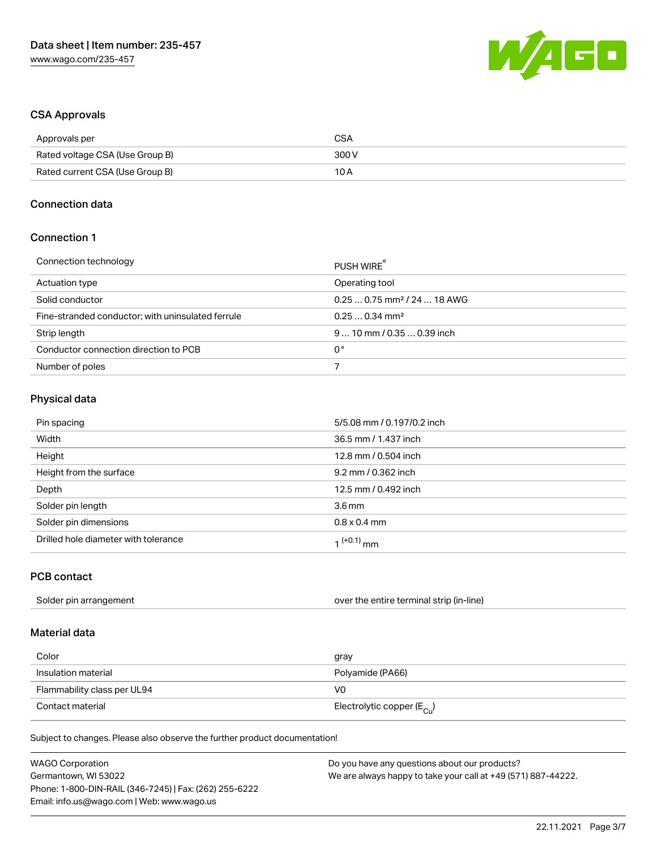

### CSA Approvals

| Approvals per                   | CSA   |
|---------------------------------|-------|
| Rated voltage CSA (Use Group B) | 300 V |
| Rated current CSA (Use Group B) | 10 A  |

#### Connection data

### Connection 1

| Connection technology                             | PUSH WIRE                               |
|---------------------------------------------------|-----------------------------------------|
| Actuation type                                    | Operating tool                          |
| Solid conductor                                   | $0.250.75$ mm <sup>2</sup> / 24  18 AWG |
| Fine-stranded conductor; with uninsulated ferrule | $0.250.34$ mm <sup>2</sup>              |
| Strip length                                      | $910$ mm $/0.350.39$ inch               |
| Conductor connection direction to PCB             | 0°                                      |
| Number of poles                                   |                                         |

### Physical data

| Pin spacing                          | 5/5.08 mm / 0.197/0.2 inch |
|--------------------------------------|----------------------------|
| Width                                | 36.5 mm / 1.437 inch       |
| Height                               | 12.8 mm / 0.504 inch       |
| Height from the surface              | 9.2 mm / 0.362 inch        |
| Depth                                | 12.5 mm / 0.492 inch       |
| Solder pin length                    | 3.6 <sub>mm</sub>          |
| Solder pin dimensions                | $0.8 \times 0.4$ mm        |
| Drilled hole diameter with tolerance | 1 <sup>(+0.1)</sup> mm     |

### PCB contact

| Solder pin arrangement | over the entire terminal strip (in-line) |
|------------------------|------------------------------------------|
|------------------------|------------------------------------------|

## Material data

| Color                       | gray                                    |
|-----------------------------|-----------------------------------------|
| Insulation material         | Polyamide (PA66)                        |
| Flammability class per UL94 | VO                                      |
| Contact material            | Electrolytic copper ( $E_{\text{Cu}}$ ) |

Subject to changes. Please also observe the further product documentation!

| <b>WAGO Corporation</b>                                | Do you have any questions about our products?                 |
|--------------------------------------------------------|---------------------------------------------------------------|
| Germantown, WI 53022                                   | We are always happy to take your call at +49 (571) 887-44222. |
| Phone: 1-800-DIN-RAIL (346-7245)   Fax: (262) 255-6222 |                                                               |
| Email: info.us@wago.com   Web: www.wago.us             |                                                               |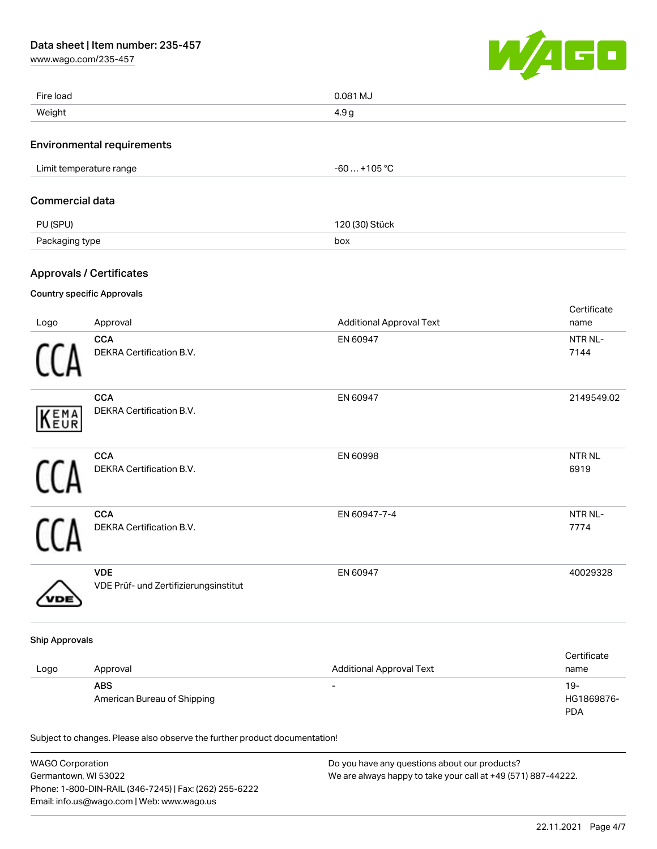[www.wago.com/235-457](http://www.wago.com/235-457)



|                        | American Bureau of Shipping<br>Subject to changes. Please also observe the further product documentation! |                                                             | HG1869876-<br><b>PDA</b>      |
|------------------------|-----------------------------------------------------------------------------------------------------------|-------------------------------------------------------------|-------------------------------|
| Logo                   | Approval<br><b>ABS</b>                                                                                    | <b>Additional Approval Text</b><br>$\overline{\phantom{a}}$ | Certificate<br>name<br>$19 -$ |
| <b>Ship Approvals</b>  |                                                                                                           |                                                             |                               |
|                        | <b>VDE</b><br>VDE Prüf- und Zertifizierungsinstitut                                                       | EN 60947                                                    | 40029328                      |
|                        | <b>CCA</b><br>DEKRA Certification B.V.                                                                    | EN 60947-7-4                                                | NTR NL-<br>7774               |
|                        | CCA<br>DEKRA Certification B.V.                                                                           | EN 60998                                                    | <b>NTRNL</b><br>6919          |
| EMA <sub>EUR</sub>     | <b>CCA</b><br>DEKRA Certification B.V.                                                                    | EN 60947                                                    | 2149549.02                    |
|                        | CCA<br>DEKRA Certification B.V.                                                                           | EN 60947                                                    | NTR NL-<br>7144               |
| Logo                   | <b>Country specific Approvals</b><br>Approval                                                             | <b>Additional Approval Text</b>                             | Certificate<br>name           |
|                        | <b>Approvals / Certificates</b>                                                                           |                                                             |                               |
| Packaging type         |                                                                                                           | box                                                         |                               |
| PU (SPU)               |                                                                                                           | 120 (30) Stück                                              |                               |
| <b>Commercial data</b> |                                                                                                           |                                                             |                               |
|                        | Limit temperature range                                                                                   | $-60+105$ °C                                                |                               |
|                        | <b>Environmental requirements</b>                                                                         |                                                             |                               |
| Weight                 |                                                                                                           | 4.9 <sub>g</sub>                                            |                               |
| Fire load              |                                                                                                           | 0.081 MJ                                                    |                               |

| <b>WAGO Corporation</b>                                | Do you have any questions about our products?                 |
|--------------------------------------------------------|---------------------------------------------------------------|
| Germantown, WI 53022                                   | We are always happy to take your call at +49 (571) 887-44222. |
| Phone: 1-800-DIN-RAIL (346-7245)   Fax: (262) 255-6222 |                                                               |
| Email: info.us@wago.com   Web: www.wago.us             |                                                               |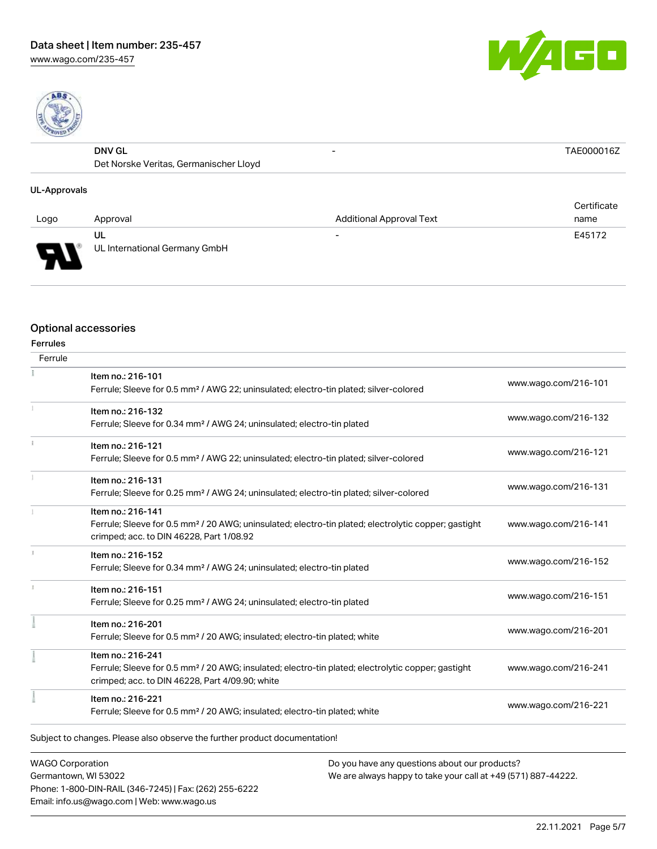[www.wago.com/235-457](http://www.wago.com/235-457)





| <b>DNV GL</b>                          | $\overline{\phantom{0}}$ | AF000016Z |
|----------------------------------------|--------------------------|-----------|
| Det Norske Veritas, Germanischer Lloyd |                          |           |
|                                        |                          |           |

### UL-Approvals

| Logo     | Approval                            | <b>Additional Approval Text</b> | Certificate<br>name |
|----------|-------------------------------------|---------------------------------|---------------------|
|          |                                     |                                 |                     |
| J<br>▼ ⊥ | UL<br>UL International Germany GmbH | $\overline{\phantom{0}}$        | E45172              |

#### Optional accessories

| Ferrule |                                                                                                                  |                      |  |
|---------|------------------------------------------------------------------------------------------------------------------|----------------------|--|
|         | Item no.: 216-101                                                                                                | www.wago.com/216-101 |  |
|         | Ferrule; Sleeve for 0.5 mm <sup>2</sup> / AWG 22; uninsulated; electro-tin plated; silver-colored                |                      |  |
|         | Item no.: 216-132                                                                                                |                      |  |
|         | Ferrule; Sleeve for 0.34 mm <sup>2</sup> / AWG 24; uninsulated; electro-tin plated                               | www.wago.com/216-132 |  |
|         | Item no.: 216-121                                                                                                |                      |  |
|         | Ferrule; Sleeve for 0.5 mm <sup>2</sup> / AWG 22; uninsulated; electro-tin plated; silver-colored                | www.wago.com/216-121 |  |
|         | Item no.: 216-131                                                                                                |                      |  |
|         | Ferrule; Sleeve for 0.25 mm <sup>2</sup> / AWG 24; uninsulated; electro-tin plated; silver-colored               | www.wago.com/216-131 |  |
|         | Item no.: 216-141                                                                                                |                      |  |
|         | Ferrule; Sleeve for 0.5 mm <sup>2</sup> / 20 AWG; uninsulated; electro-tin plated; electrolytic copper; gastight | www.wago.com/216-141 |  |
|         | crimped; acc. to DIN 46228, Part 1/08.92                                                                         |                      |  |
|         | Item no.: 216-152                                                                                                | www.wago.com/216-152 |  |
|         | Ferrule; Sleeve for 0.34 mm <sup>2</sup> / AWG 24; uninsulated; electro-tin plated                               |                      |  |
|         | Item no.: 216-151                                                                                                |                      |  |
|         | Ferrule; Sleeve for 0.25 mm <sup>2</sup> / AWG 24; uninsulated; electro-tin plated                               | www.wago.com/216-151 |  |
|         | Item no.: 216-201                                                                                                |                      |  |
|         | Ferrule; Sleeve for 0.5 mm <sup>2</sup> / 20 AWG; insulated; electro-tin plated; white                           | www.wago.com/216-201 |  |
|         | Item no.: 216-241                                                                                                |                      |  |
|         | Ferrule; Sleeve for 0.5 mm <sup>2</sup> / 20 AWG; insulated; electro-tin plated; electrolytic copper; gastight   | www.wago.com/216-241 |  |
|         | crimped; acc. to DIN 46228, Part 4/09.90; white                                                                  |                      |  |
|         | Item no.: 216-221                                                                                                | www.wago.com/216-221 |  |
|         | Ferrule; Sleeve for 0.5 mm <sup>2</sup> / 20 AWG; insulated; electro-tin plated; white                           |                      |  |

WAGO Corporation Germantown, WI 53022 Phone: 1-800-DIN-RAIL (346-7245) | Fax: (262) 255-6222 Email: info.us@wago.com | Web: www.wago.us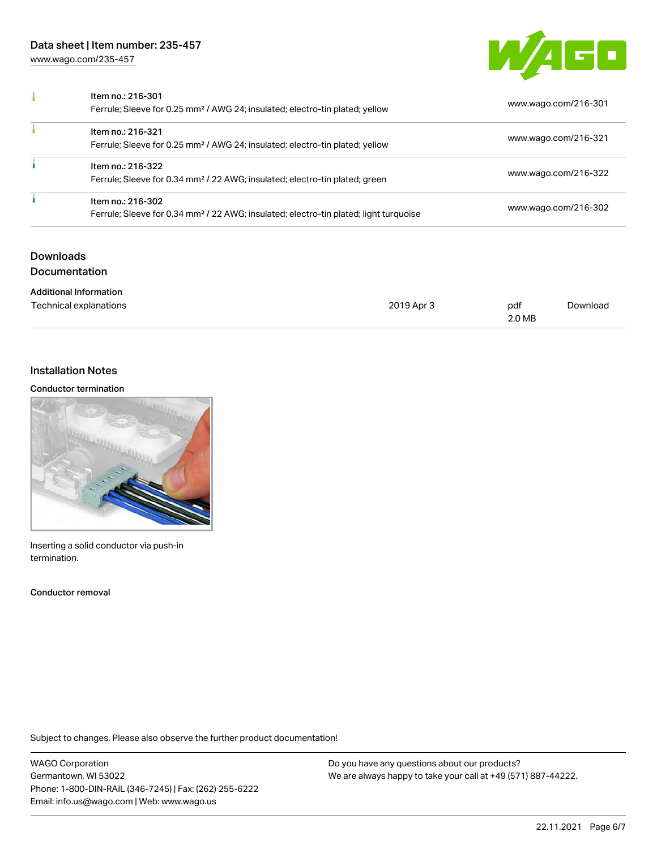[www.wago.com/235-457](http://www.wago.com/235-457)



| Item no.: 216-301<br>Ferrule; Sleeve for 0.25 mm <sup>2</sup> / AWG 24; insulated; electro-tin plated; yellow          | www.wago.com/216-301 |
|------------------------------------------------------------------------------------------------------------------------|----------------------|
| Item no.: 216-321<br>Ferrule; Sleeve for 0.25 mm <sup>2</sup> / AWG 24; insulated; electro-tin plated; yellow          | www.wago.com/216-321 |
| Item no.: 216-322<br>Ferrule; Sleeve for 0.34 mm <sup>2</sup> / 22 AWG; insulated; electro-tin plated; green           | www.wago.com/216-322 |
| Item no.: 216-302<br>Ferrule; Sleeve for 0.34 mm <sup>2</sup> / 22 AWG; insulated; electro-tin plated; light turquoise | www.wago.com/216-302 |

## Downloads Documentation

| <b>Additional Information</b> |            |        |          |
|-------------------------------|------------|--------|----------|
| Technical explanations        | 2019 Apr 3 | pdf    | Download |
|                               |            | 2.0 MB |          |

## Installation Notes

#### Conductor termination



Inserting a solid conductor via push-in termination.

Conductor removal

Subject to changes. Please also observe the further product documentation!

WAGO Corporation Germantown, WI 53022 Phone: 1-800-DIN-RAIL (346-7245) | Fax: (262) 255-6222 Email: info.us@wago.com | Web: www.wago.us